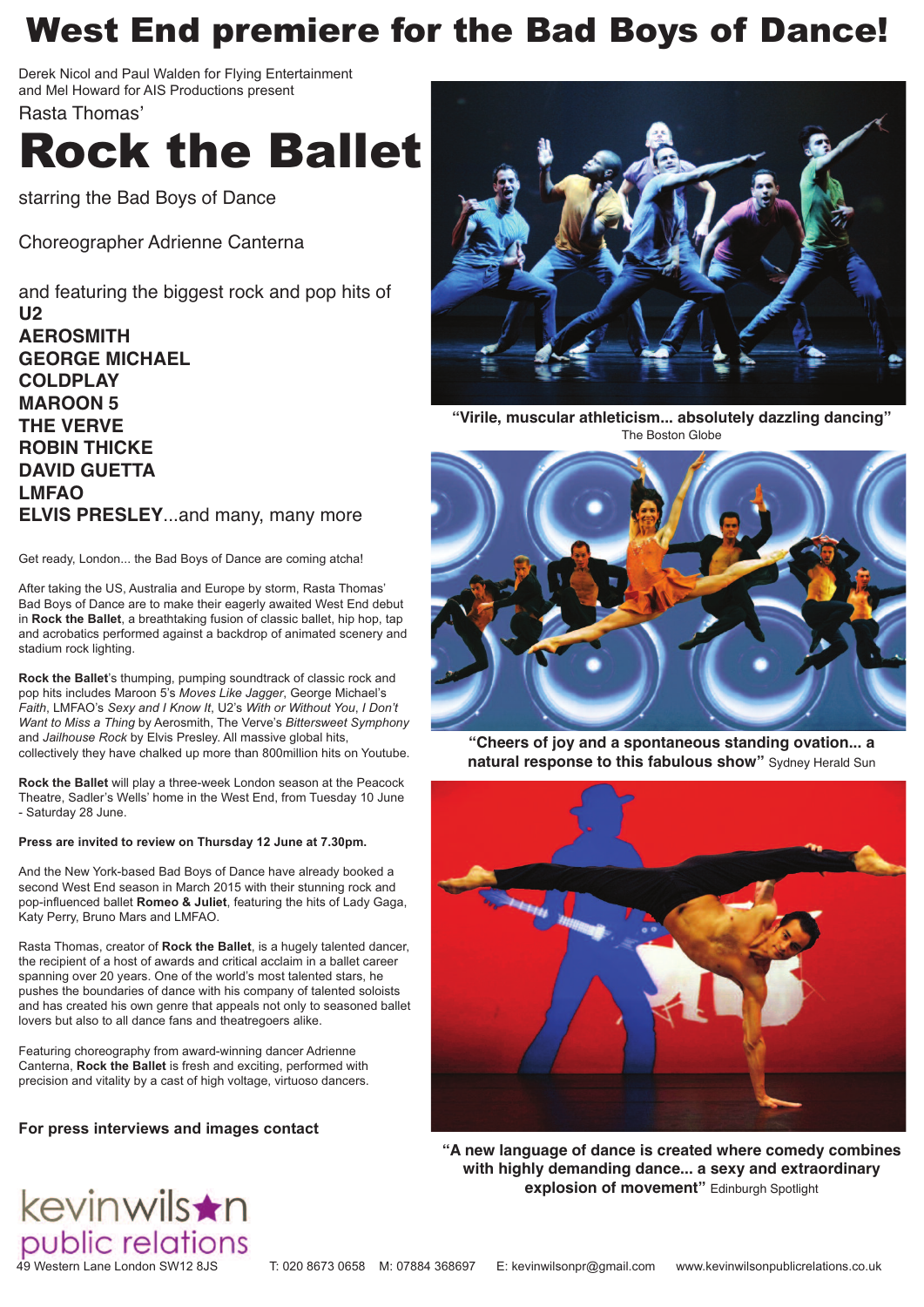# West End premiere for the Bad Boys of Dance!

Derek Nicol and Paul Walden for Flying Entertainment and Mel Howard for AIS Productions present

Rasta Thomas'

# Rock the Ballet

starring the Bad Boys of Dance

Choreographer Adrienne Canterna

and featuring the biggest rock and pop hits of **U2 AEROSMITH GEORGE MICHAEL COLDPLAY MAROON 5 THE VERVE ROBIN THICKE DAVID GUETTA LMFAO ELVIS PRESLEY**...and many, many more

Get ready, London... the Bad Boys of Dance are coming atcha!

After taking the US, Australia and Europe by storm, Rasta Thomas' Bad Boys of Dance are to make their eagerly awaited West End debut in **Rock the Ballet**, a breathtaking fusion of classic ballet, hip hop, tap and acrobatics performed against a backdrop of animated scenery and stadium rock lighting.

**Rock the Ballet**'s thumping, pumping soundtrack of classic rock and pop hits includes Maroon 5's *Moves Like Jagger*, George Michael's *Faith*, LMFAO's *Sexy and I Know It*, U2's *With or Without You*, *I Don't Want to Miss a Thing* by Aerosmith, The Verve's *Bittersweet Symphony* and *Jailhouse Rock* by Elvis Presley. All massive global hits, collectively they have chalked up more than 800million hits on Youtube.

**Rock the Ballet** will play a three-week London season at the Peacock Theatre, Sadler's Wells' home in the West End, from Tuesday 10 June - Saturday 28 June.

#### **Press are invited to review on Thursday 12 June at 7.30pm.**

And the New York-based Bad Boys of Dance have already booked a second West End season in March 2015 with their stunning rock and pop-influenced ballet **Romeo & Juliet**, featuring the hits of Lady Gaga, Katy Perry, Bruno Mars and LMFAO.

Rasta Thomas, creator of **Rock the Ballet**, is a hugely talented dancer, the recipient of a host of awards and critical acclaim in a ballet career spanning over 20 years. One of the world's most talented stars, he pushes the boundaries of dance with his company of talented soloists and has created his own genre that appeals not only to seasoned ballet lovers but also to all dance fans and theatregoers alike.

Featuring choreography from award-winning dancer Adrienne Canterna, **Rock the Ballet** is fresh and exciting, performed with precision and vitality by a cast of high voltage, virtuoso dancers.

#### **For press interviews and images contact**



**"Virile, muscular athleticism... absolutely dazzling dancing"** The Boston Globe



**"Cheers of joy and a spontaneous standing ovation... a natural response to this fabulous show"** Sydney Herald Sun



**"A new language of dance is created where comedy combines with highly demanding dance... a sexy and extraordinary explosion of movement"** Edinburgh Spotlight